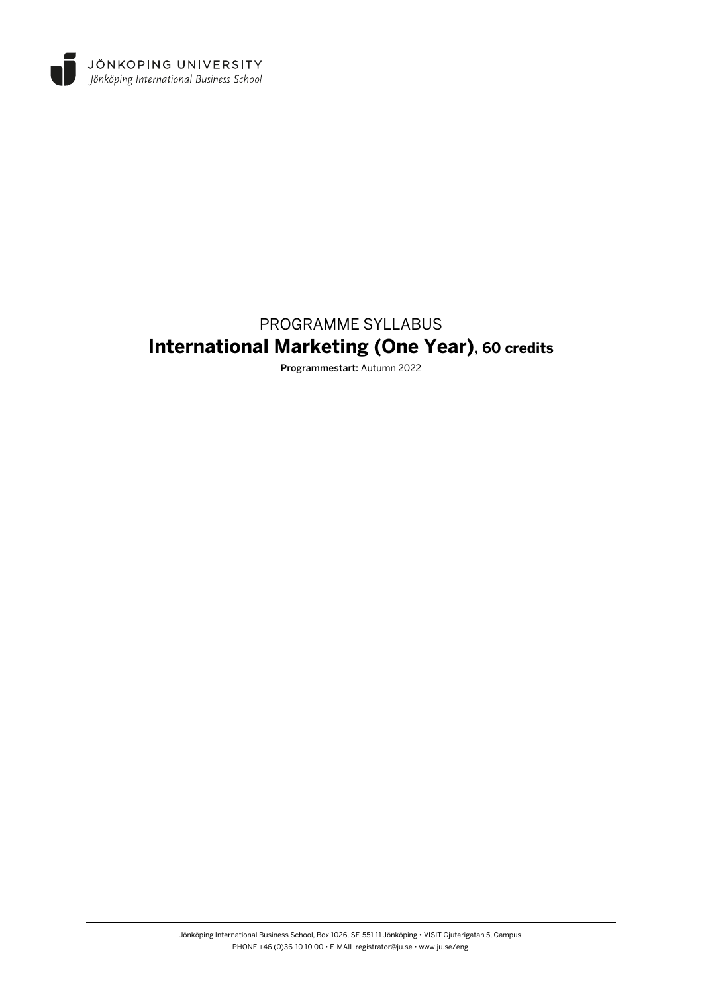

# PROGRAMME SYLLABUS **International Marketing (One Year), 60 credits**

Programmestart: Autumn 2022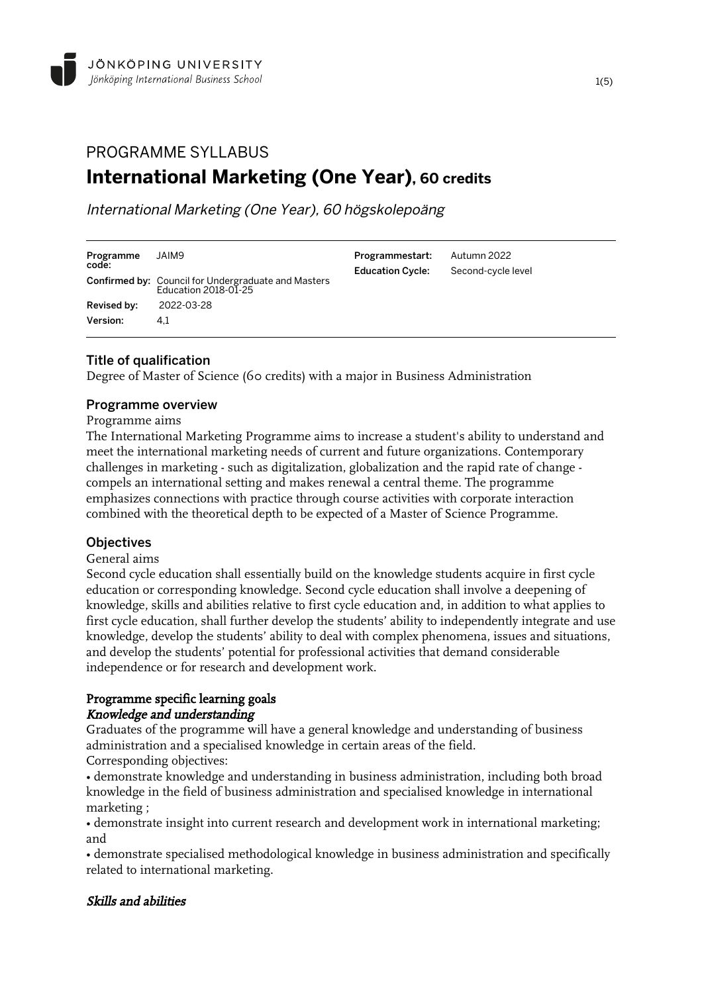# PROGRAMME SYLLABUS **International Marketing (One Year), 60 credits**

International Marketing (One Year), 60 högskolepoäng

| Programme               | JAIM9                                                                              | Programmestart:         | Autumn 2022        |
|-------------------------|------------------------------------------------------------------------------------|-------------------------|--------------------|
| code:                   | <b>Confirmed by:</b> Council for Undergraduate and Masters<br>Education 2018-01-25 | <b>Education Cycle:</b> | Second-cycle level |
| Revised by:<br>Version: | 2022-03-28<br>4.1                                                                  |                         |                    |

# Title of qualification

Degree of Master of Science (60 credits) with a major in Business Administration

### Programme overview

### Programme aims

The International Marketing Programme aims to increase a student's ability to understand and meet the international marketing needs of current and future organizations. Contemporary challenges in marketing - such as digitalization, globalization and the rapid rate of change compels an international setting and makes renewal a central theme. The programme emphasizes connections with practice through course activities with corporate interaction combined with the theoretical depth to be expected of a Master of Science Programme.

### **Objectives**

### General aims

Second cycle education shall essentially build on the knowledge students acquire in first cycle education or corresponding knowledge. Second cycle education shall involve a deepening of knowledge, skills and abilities relative to first cycle education and, in addition to what applies to first cycle education, shall further develop the students' ability to independently integrate and use knowledge, develop the students' ability to deal with complex phenomena, issues and situations, and develop the students' potential for professional activities that demand considerable independence or for research and development work.

# Programme specific learning goals

### Knowledge and understanding

Graduates of the programme will have a general knowledge and understanding of business administration and a specialised knowledge in certain areas of the field. Corresponding objectives:

• demonstrate knowledge and understanding in business administration, including both broad knowledge in the field of business administration and specialised knowledge in international marketing ;

• demonstrate insight into current research and development work in international marketing; and

• demonstrate specialised methodological knowledge in business administration and specifically related to international marketing.

# Skills and abilities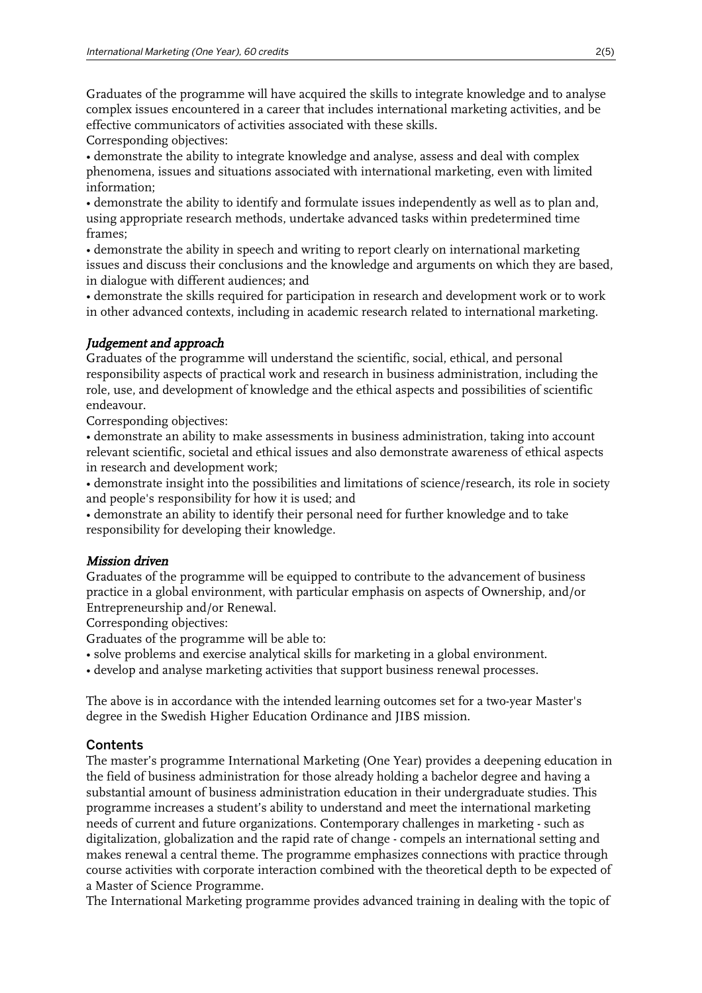Graduates of the programme will have acquired the skills to integrate knowledge and to analyse complex issues encountered in a career that includes international marketing activities, and be effective communicators of activities associated with these skills.

Corresponding objectives:

• demonstrate the ability to integrate knowledge and analyse, assess and deal with complex phenomena, issues and situations associated with international marketing, even with limited information;

• demonstrate the ability to identify and formulate issues independently as well as to plan and, using appropriate research methods, undertake advanced tasks within predetermined time frames;

• demonstrate the ability in speech and writing to report clearly on international marketing issues and discuss their conclusions and the knowledge and arguments on which they are based, in dialogue with different audiences; and

• demonstrate the skills required for participation in research and development work or to work in other advanced contexts, including in academic research related to international marketing.

# Judgement and approach

Graduates of the programme will understand the scientific, social, ethical, and personal responsibility aspects of practical work and research in business administration, including the role, use, and development of knowledge and the ethical aspects and possibilities of scientific endeavour.

Corresponding objectives:

• demonstrate an ability to make assessments in business administration, taking into account relevant scientific, societal and ethical issues and also demonstrate awareness of ethical aspects in research and development work;

• demonstrate insight into the possibilities and limitations of science/research, its role in society and people's responsibility for how it is used; and

• demonstrate an ability to identify their personal need for further knowledge and to take responsibility for developing their knowledge.

# Mission driven

Graduates of the programme will be equipped to contribute to the advancement of business practice in a global environment, with particular emphasis on aspects of Ownership, and/or Entrepreneurship and/or Renewal.

Corresponding objectives:

Graduates of the programme will be able to:

• solve problems and exercise analytical skills for marketing in a global environment.

• develop and analyse marketing activities that support business renewal processes.

The above is in accordance with the intended learning outcomes set for a two-year Master's degree in the Swedish Higher Education Ordinance and JIBS mission.

# **Contents**

The master's programme International Marketing (One Year) provides a deepening education in the field of business administration for those already holding a bachelor degree and having a substantial amount of business administration education in their undergraduate studies. This programme increases a student's ability to understand and meet the international marketing needs of current and future organizations. Contemporary challenges in marketing - such as digitalization, globalization and the rapid rate of change - compels an international setting and makes renewal a central theme. The programme emphasizes connections with practice through course activities with corporate interaction combined with the theoretical depth to be expected of a Master of Science Programme.

The International Marketing programme provides advanced training in dealing with the topic of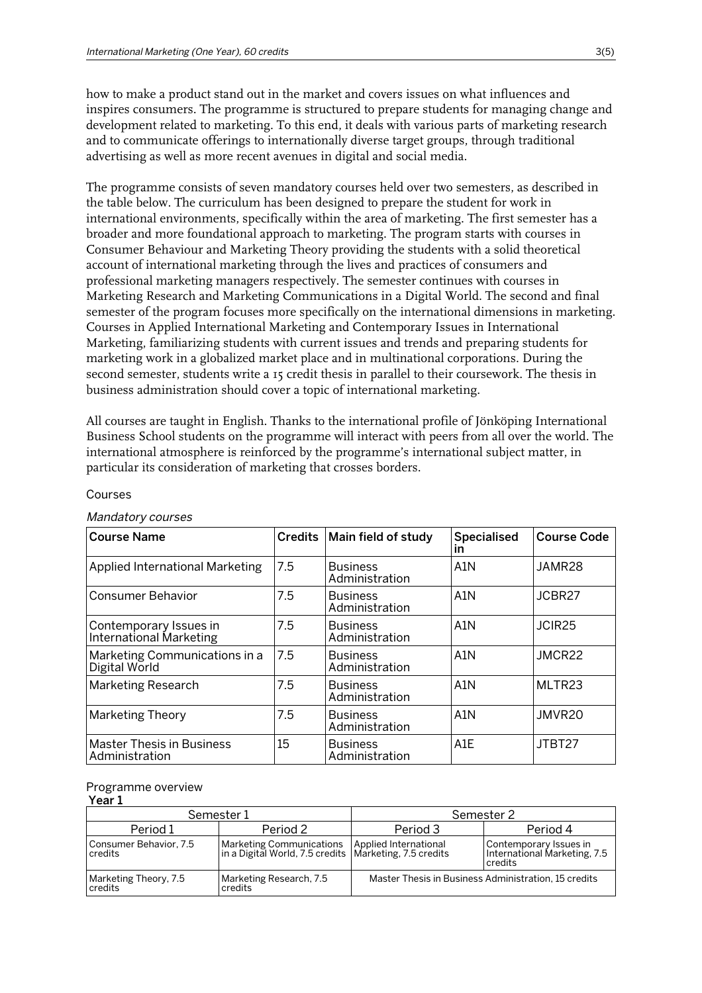how to make a product stand out in the market and covers issues on what influences and inspires consumers. The programme is structured to prepare students for managing change and development related to marketing. To this end, it deals with various parts of marketing research and to communicate offerings to internationally diverse target groups, through traditional advertising as well as more recent avenues in digital and social media.

The programme consists of seven mandatory courses held over two semesters, as described in the table below. The curriculum has been designed to prepare the student for work in international environments, specifically within the area of marketing. The first semester has a broader and more foundational approach to marketing. The program starts with courses in Consumer Behaviour and Marketing Theory providing the students with a solid theoretical account of international marketing through the lives and practices of consumers and professional marketing managers respectively. The semester continues with courses in Marketing Research and Marketing Communications in a Digital World. The second and final semester of the program focuses more specifically on the international dimensions in marketing. Courses in Applied International Marketing and Contemporary Issues in International Marketing, familiarizing students with current issues and trends and preparing students for marketing work in a globalized market place and in multinational corporations. During the second semester, students write a 15 credit thesis in parallel to their coursework. The thesis in business administration should cover a topic of international marketing.

All courses are taught in English. Thanks to the international profile of Jönköping International Business School students on the programme will interact with peers from all over the world. The international atmosphere is reinforced by the programme's international subject matter, in particular its consideration of marketing that crosses borders.

| <b>Course Name</b>                                 | <b>Credits</b> | Main field of study               | <b>Specialised</b><br>in | <b>Course Code</b> |
|----------------------------------------------------|----------------|-----------------------------------|--------------------------|--------------------|
| <b>Applied International Marketing</b>             | 7.5            | <b>Business</b><br>Administration | A <sub>1</sub> N         | JAMR28             |
| <b>Consumer Behavior</b>                           | 7.5            | <b>Business</b><br>Administration | A <sub>1</sub> N         | JCBR27             |
| Contemporary Issues in<br>International Marketing  | 7.5            | <b>Business</b><br>Administration | A <sub>1</sub> N         | JCIR <sub>25</sub> |
| Marketing Communications in a<br>Digital World     | 7.5            | <b>Business</b><br>Administration | A1N                      | JMCR22             |
| <b>Marketing Research</b>                          | 7.5            | <b>Business</b><br>Administration | A <sub>1</sub> N         | MLTR23             |
| <b>Marketing Theory</b>                            | 7.5            | <b>Business</b><br>Administration | A <sub>1</sub> N         | JMVR20             |
| <b>Master Thesis in Business</b><br>Administration | 15             | <b>Business</b><br>Administration | A <sub>1</sub> E         | JTBT27             |

#### Courses

#### Mandatory courses

#### Programme overview

| Year 1                                                                 |                                                                                                                |                                                      |                                                                   |  |
|------------------------------------------------------------------------|----------------------------------------------------------------------------------------------------------------|------------------------------------------------------|-------------------------------------------------------------------|--|
|                                                                        | Semester 1                                                                                                     | Semester 2                                           |                                                                   |  |
| Period 1                                                               | Period 2                                                                                                       | Period 3                                             | Period 4                                                          |  |
| Consumer Behavior, 7.5<br>credits                                      | Marketing Communications   Applied International<br>  in a Digital World, 7.5 credits   Marketing, 7.5 credits |                                                      | Contemporary Issues in<br>International Marketing, 7.5<br>credits |  |
| Marketing Research, 7.5<br>Marketing Theory, 7.5<br>credits<br>credits |                                                                                                                | Master Thesis in Business Administration, 15 credits |                                                                   |  |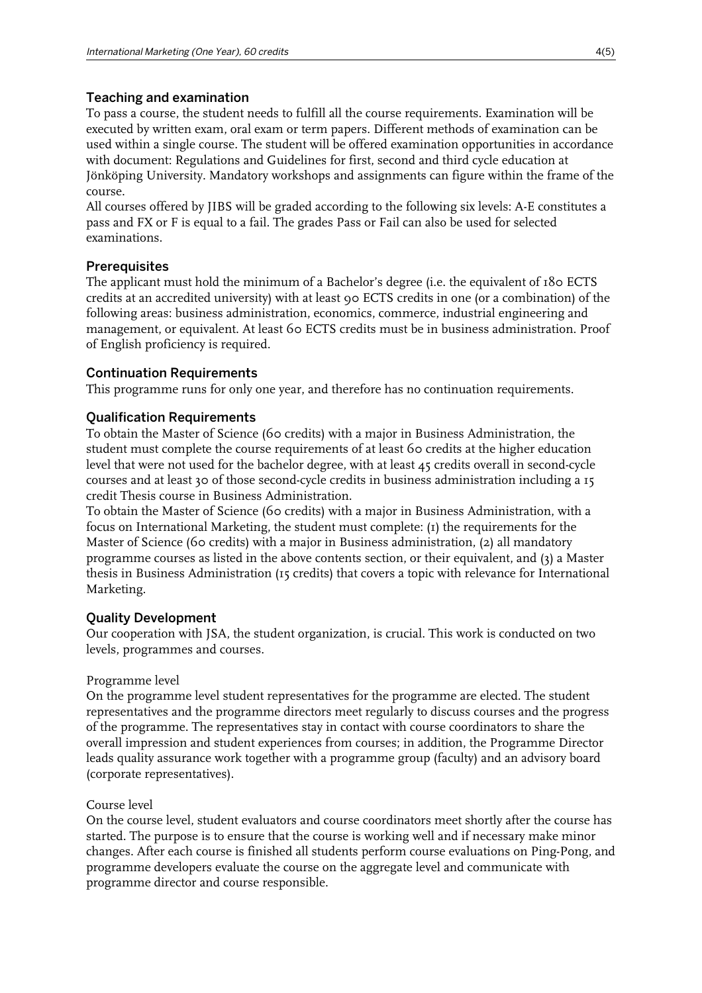# Teaching and examination

To pass a course, the student needs to fulfill all the course requirements. Examination will be executed by written exam, oral exam or term papers. Different methods of examination can be used within a single course. The student will be offered examination opportunities in accordance with document: Regulations and Guidelines for first, second and third cycle education at Jönköping University. Mandatory workshops and assignments can figure within the frame of the course.

All courses offered by JIBS will be graded according to the following six levels: A-E constitutes a pass and FX or F is equal to a fail. The grades Pass or Fail can also be used for selected examinations.

# **Prerequisites**

The applicant must hold the minimum of a Bachelor's degree (i.e. the equivalent of 180 ECTS credits at an accredited university) with at least 90 ECTS credits in one (or a combination) of the following areas: business administration, economics, commerce, industrial engineering and management, or equivalent. At least 60 ECTS credits must be in business administration. Proof of English proficiency is required.

### Continuation Requirements

This programme runs for only one year, and therefore has no continuation requirements.

# Qualification Requirements

To obtain the Master of Science (60 credits) with a major in Business Administration, the student must complete the course requirements of at least 60 credits at the higher education level that were not used for the bachelor degree, with at least 45 credits overall in second-cycle courses and at least 30 of those second-cycle credits in business administration including a 15 credit Thesis course in Business Administration.

To obtain the Master of Science (60 credits) with a major in Business Administration, with a focus on International Marketing, the student must complete: (1) the requirements for the Master of Science (60 credits) with a major in Business administration, (2) all mandatory programme courses as listed in the above contents section, or their equivalent, and (3) a Master thesis in Business Administration (15 credits) that covers a topic with relevance for International Marketing.

# Quality Development

Our cooperation with JSA, the student organization, is crucial. This work is conducted on two levels, programmes and courses.

### Programme level

On the programme level student representatives for the programme are elected. The student representatives and the programme directors meet regularly to discuss courses and the progress of the programme. The representatives stay in contact with course coordinators to share the overall impression and student experiences from courses; in addition, the Programme Director leads quality assurance work together with a programme group (faculty) and an advisory board (corporate representatives).

### Course level

On the course level, student evaluators and course coordinators meet shortly after the course has started. The purpose is to ensure that the course is working well and if necessary make minor changes. After each course is finished all students perform course evaluations on Ping-Pong, and programme developers evaluate the course on the aggregate level and communicate with programme director and course responsible.